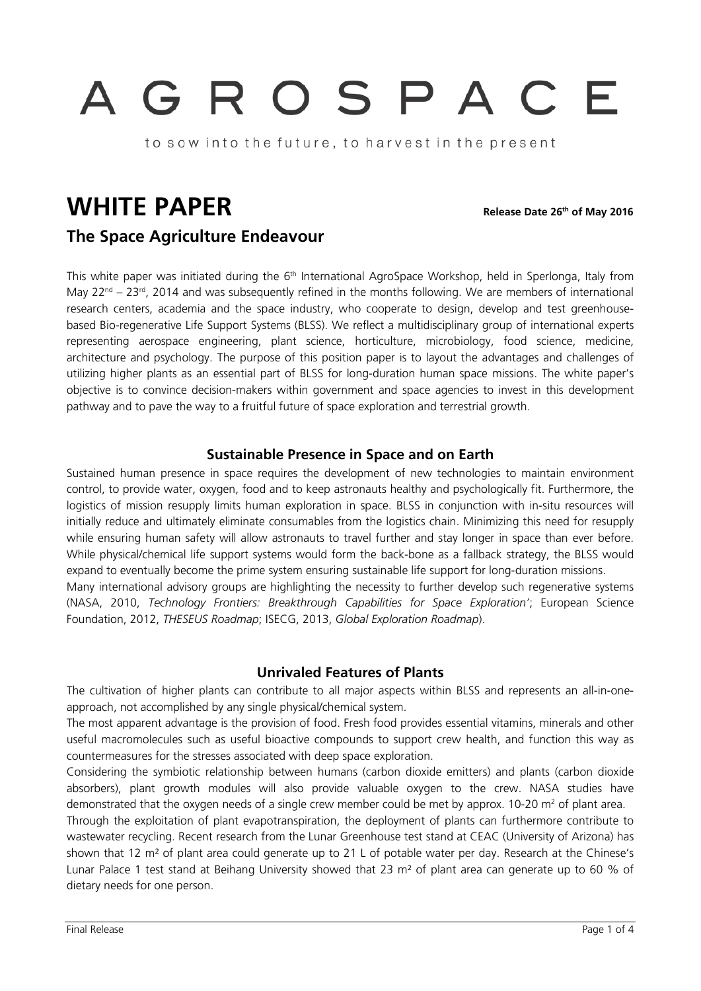# AGROSPACE

to sow into the future, to harvest in the present

## **WHITE PAPER Release Date 26th of May <sup>2016</sup>**

### **The Space Agriculture Endeavour**

This white paper was initiated during the 6<sup>th</sup> International AgroSpace Workshop, held in Sperlonga, Italy from May  $22^{nd}$  –  $23^{rd}$ , 2014 and was subsequently refined in the months following. We are members of international research centers, academia and the space industry, who cooperate to design, develop and test greenhousebased Bio-regenerative Life Support Systems (BLSS). We reflect a multidisciplinary group of international experts representing aerospace engineering, plant science, horticulture, microbiology, food science, medicine, architecture and psychology. The purpose of this position paper is to layout the advantages and challenges of utilizing higher plants as an essential part of BLSS for long-duration human space missions. The white paper's objective is to convince decision-makers within government and space agencies to invest in this development pathway and to pave the way to a fruitful future of space exploration and terrestrial growth.

#### **Sustainable Presence in Space and on Earth**

Sustained human presence in space requires the development of new technologies to maintain environment control, to provide water, oxygen, food and to keep astronauts healthy and psychologically fit. Furthermore, the logistics of mission resupply limits human exploration in space. BLSS in conjunction with in-situ resources will initially reduce and ultimately eliminate consumables from the logistics chain. Minimizing this need for resupply while ensuring human safety will allow astronauts to travel further and stay longer in space than ever before. While physical/chemical life support systems would form the back-bone as a fallback strategy, the BLSS would expand to eventually become the prime system ensuring sustainable life support for long-duration missions.

Many international advisory groups are highlighting the necessity to further develop such regenerative systems (NASA, 2010, *Technology Frontiers: Breakthrough Capabilities for Space Exploration'*; European Science Foundation, 2012, *THESEUS Roadmap*; ISECG, 2013, *Global Exploration Roadmap*).

#### **Unrivaled Features of Plants**

The cultivation of higher plants can contribute to all major aspects within BLSS and represents an all-in-oneapproach, not accomplished by any single physical/chemical system.

The most apparent advantage is the provision of food. Fresh food provides essential vitamins, minerals and other useful macromolecules such as useful bioactive compounds to support crew health, and function this way as countermeasures for the stresses associated with deep space exploration.

Considering the symbiotic relationship between humans (carbon dioxide emitters) and plants (carbon dioxide absorbers), plant growth modules will also provide valuable oxygen to the crew. NASA studies have demonstrated that the oxygen needs of a single crew member could be met by approx. 10-20  $m^2$  of plant area.

Through the exploitation of plant evapotranspiration, the deployment of plants can furthermore contribute to wastewater recycling. Recent research from the Lunar Greenhouse test stand at CEAC (University of Arizona) has shown that 12 m<sup>2</sup> of plant area could generate up to 21 L of potable water per day. Research at the Chinese's Lunar Palace 1 test stand at Beihang University showed that 23 m<sup>2</sup> of plant area can generate up to 60 % of dietary needs for one person.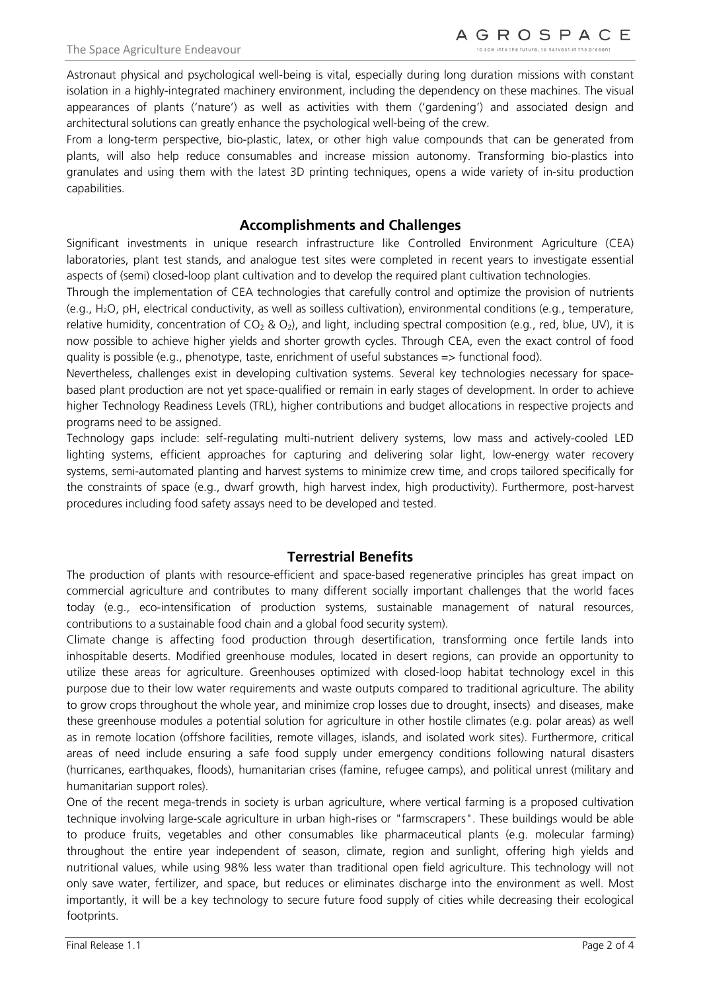Astronaut physical and psychological well-being is vital, especially during long duration missions with constant isolation in a highly-integrated machinery environment, including the dependency on these machines. The visual appearances of plants ('nature') as well as activities with them ('gardening') and associated design and architectural solutions can greatly enhance the psychological well-being of the crew.

From a long-term perspective, bio-plastic, latex, or other high value compounds that can be generated from plants, will also help reduce consumables and increase mission autonomy. Transforming bio-plastics into granulates and using them with the latest 3D printing techniques, opens a wide variety of in-situ production capabilities.

#### **Accomplishments and Challenges**

Significant investments in unique research infrastructure like Controlled Environment Agriculture (CEA) laboratories, plant test stands, and analogue test sites were completed in recent years to investigate essential aspects of (semi) closed-loop plant cultivation and to develop the required plant cultivation technologies.

Through the implementation of CEA technologies that carefully control and optimize the provision of nutrients (e.g.,  $H_2O$ , pH, electrical conductivity, as well as soilless cultivation), environmental conditions (e.g., temperature, relative humidity, concentration of  $CO_2 \& O_2$ ), and light, including spectral composition (e.g., red, blue, UV), it is now possible to achieve higher yields and shorter growth cycles. Through CEA, even the exact control of food quality is possible (e.g., phenotype, taste, enrichment of useful substances  $\Rightarrow$  functional food).

Nevertheless, challenges exist in developing cultivation systems. Several key technologies necessary for spacebased plant production are not yet space-qualified or remain in early stages of development. In order to achieve higher Technology Readiness Levels (TRL), higher contributions and budget allocations in respective projects and programs need to be assigned.

Technology gaps include: self-regulating multi-nutrient delivery systems, low mass and actively-cooled LED lighting systems, efficient approaches for capturing and delivering solar light, low-energy water recovery systems, semi-automated planting and harvest systems to minimize crew time, and crops tailored specifically for the constraints of space (e.g., dwarf growth, high harvest index, high productivity). Furthermore, post-harvest procedures including food safety assays need to be developed and tested.

#### **Terrestrial Benefits**

The production of plants with resource-efficient and space-based regenerative principles has great impact on commercial agriculture and contributes to many different socially important challenges that the world faces today (e.g., eco-intensification of production systems, sustainable management of natural resources, contributions to a sustainable food chain and a global food security system).

Climate change is affecting food production through desertification, transforming once fertile lands into inhospitable deserts. Modified greenhouse modules, located in desert regions, can provide an opportunity to utilize these areas for agriculture. Greenhouses optimized with closed-loop habitat technology excel in this purpose due to their low water requirements and waste outputs compared to traditional agriculture. The ability to grow crops throughout the whole year, and minimize crop losses due to drought, insects) and diseases, make these greenhouse modules a potential solution for agriculture in other hostile climates (e.g. polar areas) as well as in remote location (offshore facilities, remote villages, islands, and isolated work sites). Furthermore, critical areas of need include ensuring a safe food supply under emergency conditions following natural disasters (hurricanes, earthquakes, floods), humanitarian crises (famine, refugee camps), and political unrest (military and humanitarian support roles).

One of the recent mega-trends in society is urban agriculture, where vertical farming is a proposed cultivation technique involving large-scale agriculture in urban high-rises or "farmscrapers". These buildings would be able to produce fruits, vegetables and other consumables like pharmaceutical plants (e.g. molecular farming) throughout the entire year independent of season, climate, region and sunlight, offering high yields and nutritional values, while using 98% less water than traditional open field agriculture. This technology will not only save water, fertilizer, and space, but reduces or eliminates discharge into the environment as well. Most importantly, it will be a key technology to secure future food supply of cities while decreasing their ecological footprints.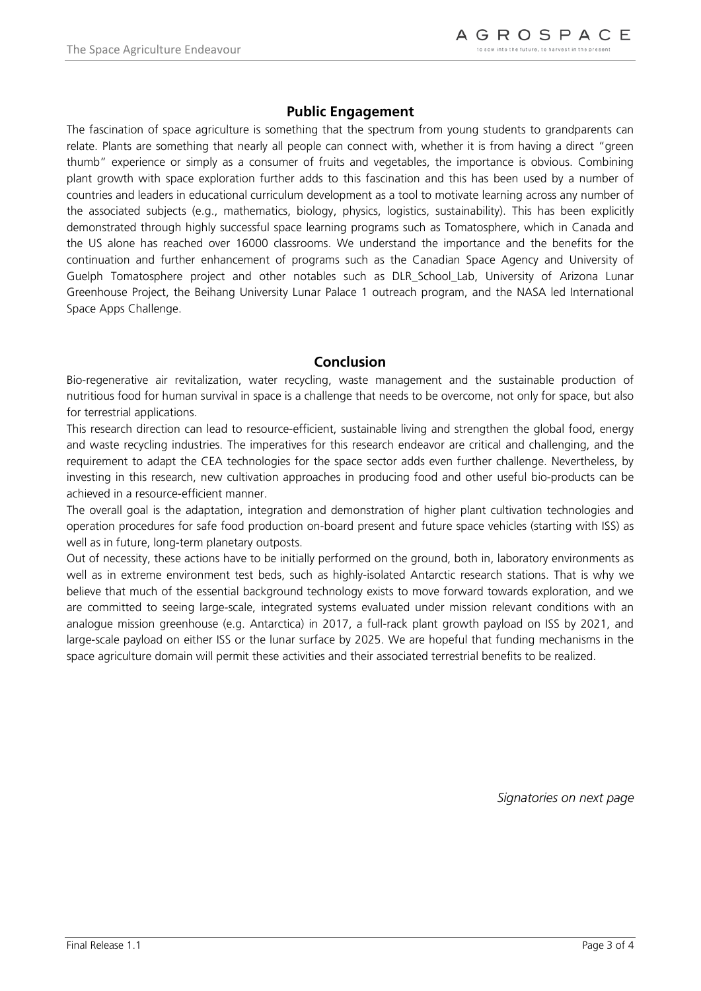#### **Public Engagement**

The fascination of space agriculture is something that the spectrum from young students to grandparents can relate. Plants are something that nearly all people can connect with, whether it is from having a direct "green thumb" experience or simply as a consumer of fruits and vegetables, the importance is obvious. Combining plant growth with space exploration further adds to this fascination and this has been used by a number of countries and leaders in educational curriculum development as a tool to motivate learning across any number of the associated subjects (e.g., mathematics, biology, physics, logistics, sustainability). This has been explicitly demonstrated through highly successful space learning programs such as Tomatosphere, which in Canada and the US alone has reached over 16000 classrooms. We understand the importance and the benefits for the continuation and further enhancement of programs such as the Canadian Space Agency and University of Guelph Tomatosphere project and other notables such as DLR School Lab, University of Arizona Lunar Greenhouse Project, the Beihang University Lunar Palace 1 outreach program, and the NASA led International Space Apps Challenge.

#### **Conclusion**

Bio-regenerative air revitalization, water recycling, waste management and the sustainable production of nutritious food for human survival in space is a challenge that needs to be overcome, not only for space, but also for terrestrial applications.

This research direction can lead to resource-efficient, sustainable living and strengthen the global food, energy and waste recycling industries. The imperatives for this research endeavor are critical and challenging, and the requirement to adapt the CEA technologies for the space sector adds even further challenge. Nevertheless, by investing in this research, new cultivation approaches in producing food and other useful bio-products can be achieved in a resource-efficient manner.

The overall goal is the adaptation, integration and demonstration of higher plant cultivation technologies and operation procedures for safe food production on-board present and future space vehicles (starting with ISS) as well as in future, long-term planetary outposts.

Out of necessity, these actions have to be initially performed on the ground, both in, laboratory environments as well as in extreme environment test beds, such as highly-isolated Antarctic research stations. That is why we believe that much of the essential background technology exists to move forward towards exploration, and we are committed to seeing large-scale, integrated systems evaluated under mission relevant conditions with an analogue mission greenhouse (e.g. Antarctica) in 2017, a full-rack plant growth payload on ISS by 2021, and large-scale payload on either ISS or the lunar surface by 2025. We are hopeful that funding mechanisms in the space agriculture domain will permit these activities and their associated terrestrial benefits to be realized.

*Signatories on next page*